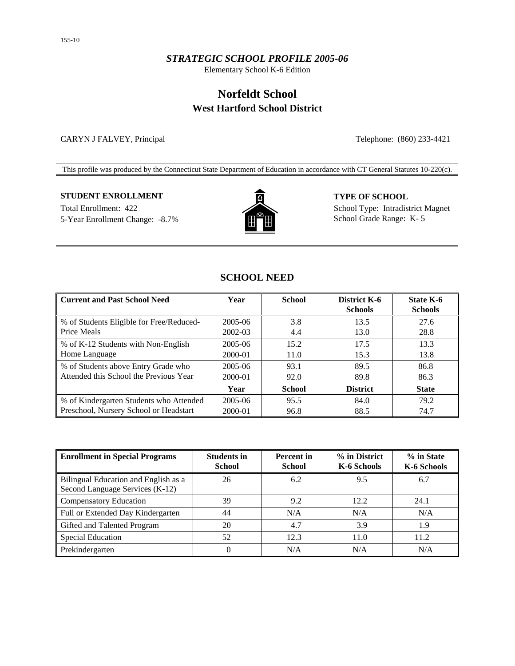## *STRATEGIC SCHOOL PROFILE 2005-06*

Elementary School K-6 Edition

# **Norfeldt School West Hartford School District**

### CARYN J FALVEY, Principal Telephone: (860) 233-4421

This profile was produced by the Connecticut State Department of Education in accordance with CT General Statutes 10-220(c).

## **STUDENT ENROLLMENT TYPE OF SCHOOL**

5-Year Enrollment Change: -8.7% **School Grade Range: K-5** School Grade Range: K-5



Total Enrollment: 422 School Type: Intradistrict Magnet

## **SCHOOL NEED**

| <b>Current and Past School Need</b>                     | Year    | <b>School</b> | District K-6<br><b>Schools</b> | <b>State K-6</b><br><b>Schools</b> |
|---------------------------------------------------------|---------|---------------|--------------------------------|------------------------------------|
| % of Students Eligible for Free/Reduced-<br>Price Meals | 2005-06 | 3.8           | 13.5                           | 27.6                               |
|                                                         | 2002-03 | 4.4           | 13.0                           | 28.8                               |
| % of K-12 Students with Non-English                     | 2005-06 | 15.2          | 17.5                           | 13.3                               |
| Home Language                                           | 2000-01 | 11.0          | 15.3                           | 13.8                               |
| % of Students above Entry Grade who                     | 2005-06 | 93.1          | 89.5                           | 86.8                               |
| Attended this School the Previous Year                  | 2000-01 | 92.0          | 89.8                           | 86.3                               |
|                                                         | Year    | <b>School</b> | <b>District</b>                | <b>State</b>                       |
| % of Kindergarten Students who Attended                 | 2005-06 | 95.5          | 84.0                           | 79.2                               |
| Preschool, Nursery School or Headstart                  | 2000-01 | 96.8          | 88.5                           | 74.7                               |

| <b>Enrollment in Special Programs</b>                                   | <b>Students in</b><br><b>School</b> | <b>Percent</b> in<br><b>School</b> | % in District<br>K-6 Schools | % in State<br>K-6 Schools |
|-------------------------------------------------------------------------|-------------------------------------|------------------------------------|------------------------------|---------------------------|
| Bilingual Education and English as a<br>Second Language Services (K-12) | 26                                  | 6.2                                | 9.5                          | 6.7                       |
| <b>Compensatory Education</b>                                           | 39                                  | 9.2                                | 12.2                         | 24.1                      |
| Full or Extended Day Kindergarten                                       | 44                                  | N/A                                | N/A                          | N/A                       |
| Gifted and Talented Program                                             | 20                                  | 4.7                                | 3.9                          | 1.9                       |
| <b>Special Education</b>                                                | 52                                  | 12.3                               | 11.0                         | 11.2                      |
| Prekindergarten                                                         | 0                                   | N/A                                | N/A                          | N/A                       |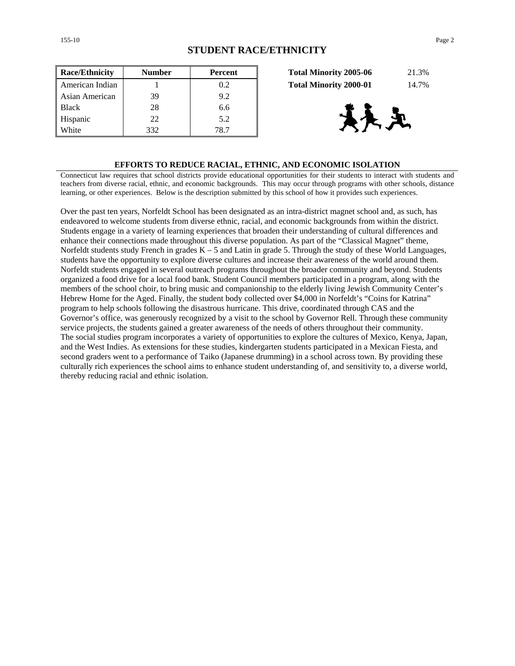| <b>Race/Ethnicity</b> | <b>Number</b> | <b>Percent</b> | 21.3%<br><b>Total Minority 2005-06</b> |
|-----------------------|---------------|----------------|----------------------------------------|
| American Indian       |               | 0.2            | 14.7%<br><b>Total Minority 2000-01</b> |
| Asian American        | 39            | 9.2            |                                        |
| <b>Black</b>          | 28            | 6.6            |                                        |
| Hispanic              | 22            | 5.2            | 大卫                                     |
| White                 | 332           | 78.7           |                                        |

| <b>Total Minority 2005-06</b> | 21.3% |
|-------------------------------|-------|
| <b>Total Minority 2000-01</b> | 14.7% |



#### **EFFORTS TO REDUCE RACIAL, ETHNIC, AND ECONOMIC ISOLATION**

Connecticut law requires that school districts provide educational opportunities for their students to interact with students and teachers from diverse racial, ethnic, and economic backgrounds. This may occur through programs with other schools, distance learning, or other experiences. Below is the description submitted by this school of how it provides such experiences.

Over the past ten years, Norfeldt School has been designated as an intra-district magnet school and, as such, has endeavored to welcome students from diverse ethnic, racial, and economic backgrounds from within the district. Students engage in a variety of learning experiences that broaden their understanding of cultural differences and enhance their connections made throughout this diverse population. As part of the "Classical Magnet" theme, Norfeldt students study French in grades  $K - 5$  and Latin in grade 5. Through the study of these World Languages, students have the opportunity to explore diverse cultures and increase their awareness of the world around them. Norfeldt students engaged in several outreach programs throughout the broader community and beyond. Students organized a food drive for a local food bank. Student Council members participated in a program, along with the members of the school choir, to bring music and companionship to the elderly living Jewish Community Center's Hebrew Home for the Aged. Finally, the student body collected over \$4,000 in Norfeldt's "Coins for Katrina" program to help schools following the disastrous hurricane. This drive, coordinated through CAS and the Governor's office, was generously recognized by a visit to the school by Governor Rell. Through these community service projects, the students gained a greater awareness of the needs of others throughout their community. The social studies program incorporates a variety of opportunities to explore the cultures of Mexico, Kenya, Japan, and the West Indies. As extensions for these studies, kindergarten students participated in a Mexican Fiesta, and second graders went to a performance of Taiko (Japanese drumming) in a school across town. By providing these culturally rich experiences the school aims to enhance student understanding of, and sensitivity to, a diverse world, thereby reducing racial and ethnic isolation.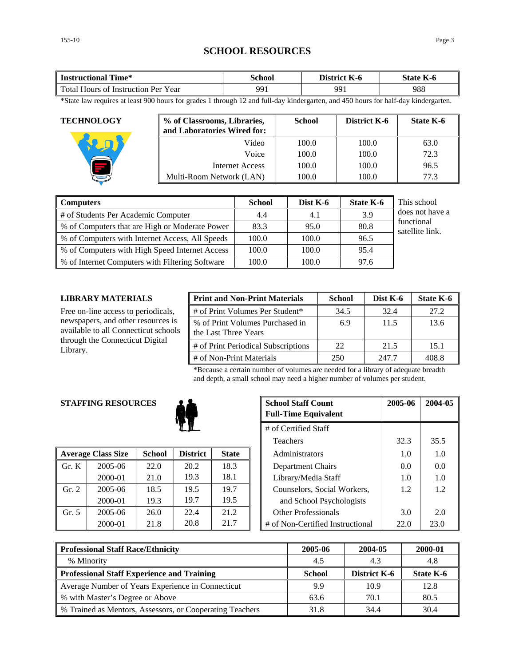## **SCHOOL RESOURCES**

| Time*<br>Instructional                        | School | $-$<br>District<br>K-6 | $-$<br>State<br>K-0 |
|-----------------------------------------------|--------|------------------------|---------------------|
| Total Hours<br>Year<br>Instruction Per_<br>0Ť | 991    | 991                    | 988                 |

\*State law requires at least 900 hours for grades 1 through 12 and full-day kindergarten, and 450 hours for half-day kindergarten.

| <b>TECHNOLOGY</b> | % of Classrooms, Libraries,<br>and Laboratories Wired for: | <b>School</b> | District K-6 | <b>State K-6</b> |
|-------------------|------------------------------------------------------------|---------------|--------------|------------------|
|                   | Video                                                      | 100.0         | 100.0        | 63.0             |
|                   | Voice                                                      | 100.0         | 100.0        | 72.3             |
|                   | Internet Access                                            | 100.0         | 100.0        | 96.5             |
|                   | Multi-Room Network (LAN)                                   | 100.0         | 100.0        | 77.3             |

| <b>Computers</b>                                | <b>School</b> | Dist K-6 | <b>State K-6</b> | This school                   |
|-------------------------------------------------|---------------|----------|------------------|-------------------------------|
| # of Students Per Academic Computer             | 4.4           | 4.1      | 3.9              | does not have a               |
| % of Computers that are High or Moderate Power  | 83.3          | 95.0     | 80.8             | functional<br>satellite link. |
| % of Computers with Internet Access, All Speeds | 100.0         | 100.0    | 96.5             |                               |
| % of Computers with High Speed Internet Access  | 100.0         | 100.0    | 95.4             |                               |
| % of Internet Computers with Filtering Software | 100.0         | 100.0    | 97.6             |                               |

## **LIBRARY MATERIALS**

Free on-line access to periodicals, newspapers, and other resources is available to all Connecticut schools through the Connecticut Digital Library.

| <b>Print and Non-Print Materials</b>                    | <b>School</b> | Dist K-6 | State K-6 |
|---------------------------------------------------------|---------------|----------|-----------|
| # of Print Volumes Per Student*                         | 34.5          | 32.4     | 27.2      |
| % of Print Volumes Purchased in<br>the Last Three Years | 6.9           | 11.5     | 13.6      |
| # of Print Periodical Subscriptions                     | 22            | 21.5     | 15.1      |
| # of Non-Print Materials                                | 250           | 247.7    | 408.8     |

\*Because a certain number of volumes are needed for a library of adequate breadth and depth, a small school may need a higher number of volumes per student.

## **STAFFING RESOURCES**



|       | <b>Average Class Size</b> | <b>School</b> | <b>District</b> | <b>State</b> | Administrators |                                  | 1.0  | 1.0  |
|-------|---------------------------|---------------|-----------------|--------------|----------------|----------------------------------|------|------|
| Gr. K | $2005 - 06$               | 22.0          | 20.2            | 18.3         |                | Department Chairs                | 0.0  | 0.0  |
|       | 2000-01                   | 21.0          | 19.3            | 18.1         |                | Library/Media Staff              | 1.0  | 1.0  |
| Gr. 2 | 2005-06                   | 18.5          | 19.5            | 19.7         |                | Counselors, Social Workers,      | 1.2  | 1.2  |
|       | 2000-01                   | 19.3          | 19.7            | 19.5         |                | and School Psychologists         |      |      |
| Gr. 5 | 2005-06                   | 26.0          | 22.4            | 21.2         |                | <b>Other Professionals</b>       | 3.0  | 2.0  |
|       | 2000-01                   | 21.8          | 20.8            | 21.7         |                | # of Non-Certified Instructional | 22.0 | 23.0 |

| <b>G RESOURCES</b>   |                 | <b>School Staff Count</b><br><b>Full-Time Equivalent</b> | 2005-06      | 2004-05 |                                  |      |      |
|----------------------|-----------------|----------------------------------------------------------|--------------|---------|----------------------------------|------|------|
| # of Certified Staff |                 |                                                          |              |         |                                  |      |      |
|                      | <b>Teachers</b> |                                                          |              |         | 32.3                             | 35.5 |      |
| lass Size            | <b>School</b>   | <b>District</b>                                          | <b>State</b> |         | Administrators                   | 1.0  | 1.0  |
| 2005-06              | 22.0            | 20.2                                                     | 18.3         |         | Department Chairs                | 0.0  | 0.0  |
| 2000-01              | 21.0            | 19.3                                                     | 18.1         |         | Library/Media Staff              | 1.0  | 1.0  |
| 2005-06              | 18.5            | 19.5                                                     | 19.7         |         | Counselors, Social Workers,      | 1.2  | 1.2  |
| 2000-01              | 19.3            | 19.7                                                     | 19.5         |         | and School Psychologists         |      |      |
| 2005-06              | 26.0            | 22.4                                                     | 21.2         |         | <b>Other Professionals</b>       | 3.0  | 2.0  |
| 2000-01              | 21.8            | 20.8                                                     | 21.7         |         | # of Non-Certified Instructional | 22.0 | 23.0 |

| <b>Professional Staff Race/Ethnicity</b>                 | 2005-06       | 2004-05             | 2000-01   |
|----------------------------------------------------------|---------------|---------------------|-----------|
| % Minority                                               | 4.5           | 4.3                 | 4.8       |
| <b>Professional Staff Experience and Training</b>        | <b>School</b> | <b>District K-6</b> | State K-6 |
| Average Number of Years Experience in Connecticut        | 9.9           | 10.9                | 12.8      |
| % with Master's Degree or Above                          | 63.6          | 70.1                | 80.5      |
| % Trained as Mentors, Assessors, or Cooperating Teachers | 31.8          | 34.4                | 30.4      |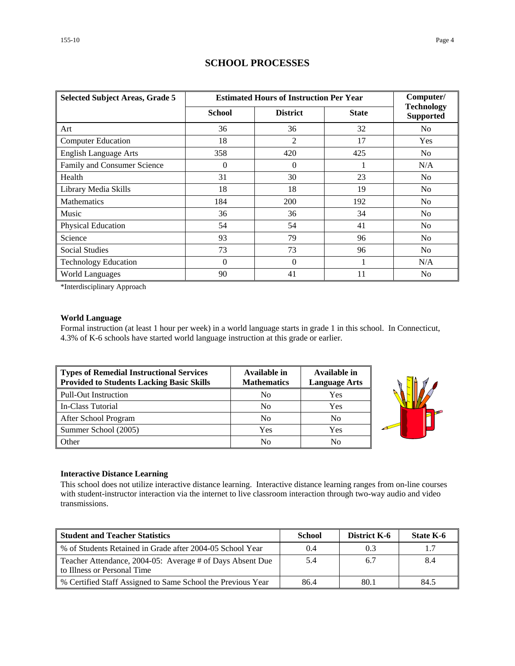| <b>Selected Subject Areas, Grade 5</b> |               | <b>Estimated Hours of Instruction Per Year</b> | Computer/    |                                       |
|----------------------------------------|---------------|------------------------------------------------|--------------|---------------------------------------|
|                                        | <b>School</b> | <b>District</b>                                | <b>State</b> | <b>Technology</b><br><b>Supported</b> |
| Art                                    | 36            | 36                                             | 32           | N <sub>0</sub>                        |
| <b>Computer Education</b>              | 18            | $\overline{2}$                                 | 17           | <b>Yes</b>                            |
| <b>English Language Arts</b>           | 358           | 420                                            | 425          | N <sub>o</sub>                        |
| Family and Consumer Science            | $\Omega$      | $\overline{0}$                                 |              | N/A                                   |
| Health                                 | 31            | 30                                             | 23           | N <sub>o</sub>                        |
| Library Media Skills                   | 18            | 18                                             | 19           | N <sub>0</sub>                        |
| <b>Mathematics</b>                     | 184           | 200                                            | 192          | No.                                   |
| Music                                  | 36            | 36                                             | 34           | N <sub>o</sub>                        |
| Physical Education                     | 54            | 54                                             | 41           | No.                                   |
| Science                                | 93            | 79                                             | 96           | N <sub>o</sub>                        |
| <b>Social Studies</b>                  | 73            | 73                                             | 96           | N <sub>o</sub>                        |
| <b>Technology Education</b>            | $\Omega$      | $\Omega$                                       | 1            | N/A                                   |
| <b>World Languages</b>                 | 90            | 41                                             | 11           | No                                    |

## **SCHOOL PROCESSES**

\*Interdisciplinary Approach

### **World Language**

Formal instruction (at least 1 hour per week) in a world language starts in grade 1 in this school. In Connecticut, 4.3% of K-6 schools have started world language instruction at this grade or earlier.

| Types of Remedial Instructional Services<br><b>Provided to Students Lacking Basic Skills</b> | Available in<br><b>Mathematics</b> | Available in<br><b>Language Arts</b> |
|----------------------------------------------------------------------------------------------|------------------------------------|--------------------------------------|
| Pull-Out Instruction                                                                         | No                                 | Yes                                  |
| In-Class Tutorial                                                                            | N <sub>0</sub>                     | Yes                                  |
| After School Program                                                                         | N <sub>0</sub>                     | No                                   |
| Summer School (2005)                                                                         | Yes                                | Yes                                  |
| Other                                                                                        | No                                 | No                                   |



### **Interactive Distance Learning**

This school does not utilize interactive distance learning. Interactive distance learning ranges from on-line courses with student-instructor interaction via the internet to live classroom interaction through two-way audio and video transmissions.

| <b>Student and Teacher Statistics</b>                                                    | <b>School</b> | <b>District K-6</b> | State K-6 |
|------------------------------------------------------------------------------------------|---------------|---------------------|-----------|
| % of Students Retained in Grade after 2004-05 School Year                                | 0.4           | 0.3                 | 1.7       |
| Teacher Attendance, 2004-05: Average # of Days Absent Due<br>to Illness or Personal Time | 5.4           | 6.7                 | 8.4       |
| % Certified Staff Assigned to Same School the Previous Year                              | 86.4          | 80.1                | 84.5      |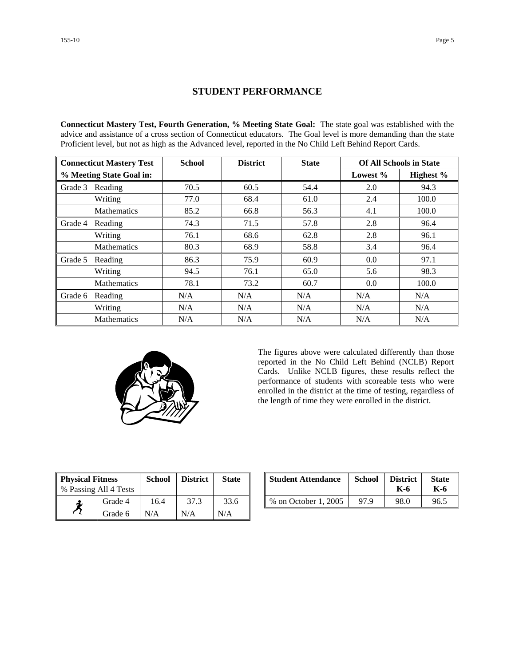## **STUDENT PERFORMANCE**

**Connecticut Mastery Test, Fourth Generation, % Meeting State Goal:** The state goal was established with the advice and assistance of a cross section of Connecticut educators. The Goal level is more demanding than the state Proficient level, but not as high as the Advanced level, reported in the No Child Left Behind Report Cards.

| <b>Connecticut Mastery Test</b> |                    | <b>School</b> | <b>District</b> | <b>State</b> | <b>Of All Schools in State</b> |           |
|---------------------------------|--------------------|---------------|-----------------|--------------|--------------------------------|-----------|
| % Meeting State Goal in:        |                    |               |                 |              | Lowest $%$                     | Highest % |
| Grade 3                         | Reading            | 70.5          | 60.5            | 54.4         | 2.0                            | 94.3      |
|                                 | Writing            | 77.0          | 68.4            | 61.0         | 2.4                            | 100.0     |
|                                 | <b>Mathematics</b> | 85.2          | 66.8            | 56.3         | 4.1                            | 100.0     |
| Grade 4                         | Reading            | 74.3          | 71.5            | 57.8         | 2.8                            | 96.4      |
|                                 | Writing            | 76.1          | 68.6            | 62.8         | 2.8                            | 96.1      |
|                                 | Mathematics        | 80.3          | 68.9            | 58.8         | 3.4                            | 96.4      |
| Grade 5                         | Reading            | 86.3          | 75.9            | 60.9         | 0.0                            | 97.1      |
|                                 | Writing            | 94.5          | 76.1            | 65.0         | 5.6                            | 98.3      |
|                                 | <b>Mathematics</b> | 78.1          | 73.2            | 60.7         | 0.0                            | 100.0     |
| Grade 6                         | Reading            | N/A           | N/A             | N/A          | N/A                            | N/A       |
|                                 | Writing            | N/A           | N/A             | N/A          | N/A                            | N/A       |
|                                 | <b>Mathematics</b> | N/A           | N/A             | N/A          | N/A                            | N/A       |



The figures above were calculated differently than those reported in the No Child Left Behind (NCLB) Report Cards. Unlike NCLB figures, these results reflect the performance of students with scoreable tests who were enrolled in the district at the time of testing, regardless of the length of time they were enrolled in the district.

| <b>Physical Fitness</b> |                       | School | <b>District</b> | <b>State</b> |
|-------------------------|-----------------------|--------|-----------------|--------------|
|                         | % Passing All 4 Tests |        |                 |              |
|                         | Grade 4               | 16.4   | 37.3            | 33.6         |
|                         | Grade 6               | N/A    | N/A             | N/A          |

| ness<br>.11 4 Tests | School | <b>District</b> | <b>State</b> | <b>Student Attendance</b> | <b>School</b> | <b>District</b><br>K-6 | <b>State</b><br>K-6 |
|---------------------|--------|-----------------|--------------|---------------------------|---------------|------------------------|---------------------|
| Grade 4             | 16.4   | 37.3            | 33.6         | % on October 1, 2005      | 97 Q          | 98.0                   | 96.5                |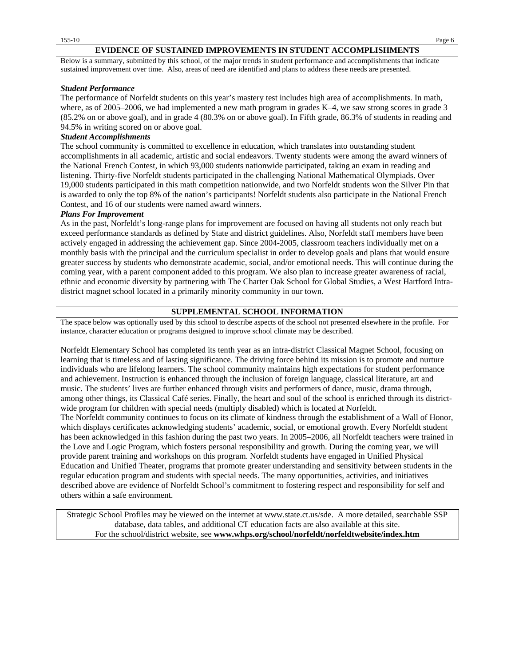### **EVIDENCE OF SUSTAINED IMPROVEMENTS IN STUDENT ACCOMPLISHMENTS**

Below is a summary, submitted by this school, of the major trends in student performance and accomplishments that indicate sustained improvement over time. Also, areas of need are identified and plans to address these needs are presented.

#### *Student Performance*

The performance of Norfeldt students on this year's mastery test includes high area of accomplishments. In math, where, as of 2005–2006, we had implemented a new math program in grades K–4, we saw strong scores in grade 3 (85.2% on or above goal), and in grade 4 (80.3% on or above goal). In Fifth grade, 86.3% of students in reading and 94.5% in writing scored on or above goal.

### *Student Accomplishments*

The school community is committed to excellence in education, which translates into outstanding student accomplishments in all academic, artistic and social endeavors. Twenty students were among the award winners of the National French Contest, in which 93,000 students nationwide participated, taking an exam in reading and listening. Thirty-five Norfeldt students participated in the challenging National Mathematical Olympiads. Over 19,000 students participated in this math competition nationwide, and two Norfeldt students won the Silver Pin that is awarded to only the top 8% of the nation's participants! Norfeldt students also participate in the National French Contest, and 16 of our students were named award winners.

#### *Plans For Improvement*

As in the past, Norfeldt's long-range plans for improvement are focused on having all students not only reach but exceed performance standards as defined by State and district guidelines. Also, Norfeldt staff members have been actively engaged in addressing the achievement gap. Since 2004-2005, classroom teachers individually met on a monthly basis with the principal and the curriculum specialist in order to develop goals and plans that would ensure greater success by students who demonstrate academic, social, and/or emotional needs. This will continue during the coming year, with a parent component added to this program. We also plan to increase greater awareness of racial, ethnic and economic diversity by partnering with The Charter Oak School for Global Studies, a West Hartford Intradistrict magnet school located in a primarily minority community in our town.

### **SUPPLEMENTAL SCHOOL INFORMATION**

The space below was optionally used by this school to describe aspects of the school not presented elsewhere in the profile. For instance, character education or programs designed to improve school climate may be described.

Norfeldt Elementary School has completed its tenth year as an intra-district Classical Magnet School, focusing on learning that is timeless and of lasting significance. The driving force behind its mission is to promote and nurture individuals who are lifelong learners. The school community maintains high expectations for student performance and achievement. Instruction is enhanced through the inclusion of foreign language, classical literature, art and music. The students' lives are further enhanced through visits and performers of dance, music, drama through, among other things, its Classical Café series. Finally, the heart and soul of the school is enriched through its districtwide program for children with special needs (multiply disabled) which is located at Norfeldt. The Norfeldt community continues to focus on its climate of kindness through the establishment of a Wall of Honor, which displays certificates acknowledging students' academic, social, or emotional growth. Every Norfeldt student has been acknowledged in this fashion during the past two years. In 2005–2006, all Norfeldt teachers were trained in the Love and Logic Program, which fosters personal responsibility and growth. During the coming year, we will provide parent training and workshops on this program. Norfeldt students have engaged in Unified Physical Education and Unified Theater, programs that promote greater understanding and sensitivity between students in the regular education program and students with special needs. The many opportunities, activities, and initiatives described above are evidence of Norfeldt School's commitment to fostering respect and responsibility for self and others within a safe environment.

Strategic School Profiles may be viewed on the internet at www.state.ct.us/sde. A more detailed, searchable SSP database, data tables, and additional CT education facts are also available at this site. For the school/district website, see **www.whps.org/school/norfeldt/norfeldtwebsite/index.htm**